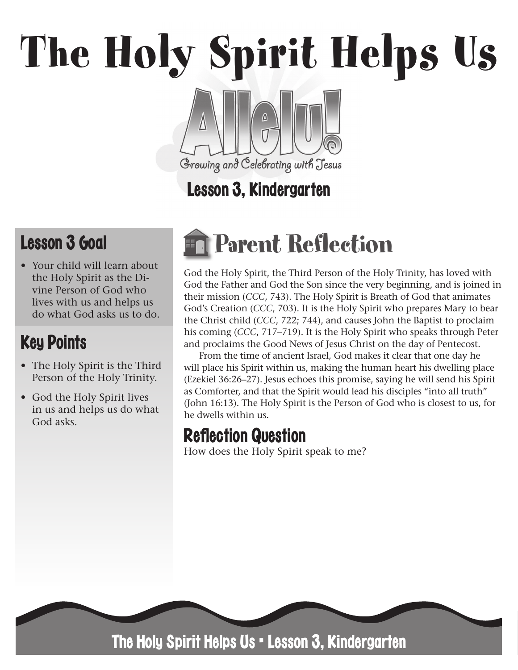# The Holy Spirit Helps Us

# Growing and Celebrating with Jesus Lesson 3, Kindergarten

# Lesson 3 Goal

• Your child will learn about the Holy Spirit as the Divine Person of God who lives with us and helps us do what God asks us to do.

# Key Points

- The Holy Spirit is the Third Person of the Holy Trinity.
- God the Holy Spirit lives in us and helps us do what God asks.

# Parent Reflection

God the Holy Spirit, the Third Person of the Holy Trinity, has loved with God the Father and God the Son since the very beginning, and is joined in their mission (*CCC*, 743). The Holy Spirit is Breath of God that animates God's Creation (*CCC*, 703). It is the Holy Spirit who prepares Mary to bear the Christ child (*CCC*, 722; 744), and causes John the Baptist to proclaim his coming (*CCC*, 717–719). It is the Holy Spirit who speaks through Peter and proclaims the Good News of Jesus Christ on the day of Pentecost.

From the time of ancient Israel, God makes it clear that one day he will place his Spirit within us, making the human heart his dwelling place (Ezekiel 36:26–27). Jesus echoes this promise, saying he will send his Spirit as Comforter, and that the Spirit would lead his disciples "into all truth" (John 16:13). The Holy Spirit is the Person of God who is closest to us, for he dwells within us.

## **Reflection Question**

How does the Holy Spirit speak to me?



The Holy Spirit Helps Us • Lesson 3, Kindergarten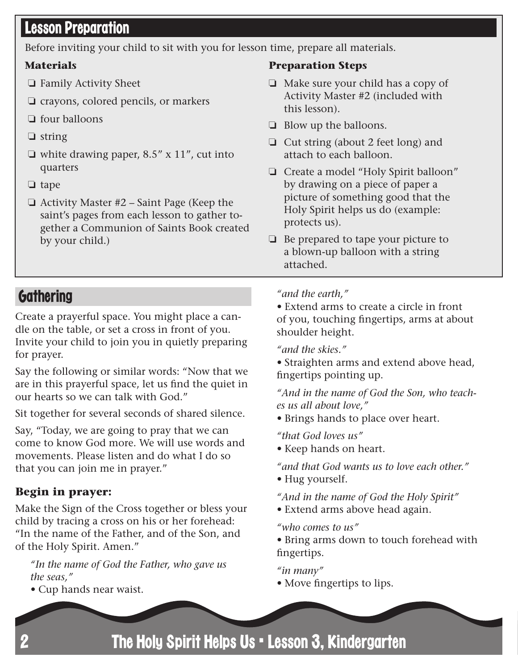#### Lesson Preparation

Before inviting your child to sit with you for lesson time, prepare all materials.

#### **Materials**

- ❏ Family Activity Sheet
- ❏ crayons, colored pencils, or markers
- ❏ four balloons
- ❏ string
- $\Box$  white drawing paper, 8.5" x 11", cut into quarters
- ❏ tape
- ❏ Activity Master #2 Saint Page (Keep the saint's pages from each lesson to gather together a Communion of Saints Book created by your child.)

#### **Preparation Steps**

- ❏ Make sure your child has a copy of Activity Master #2 (included with this lesson).
- ❏ Blow up the balloons.
- ❏ Cut string (about 2 feet long) and attach to each balloon.
- ❏ Create a model "Holy Spirit balloon" by drawing on a piece of paper a picture of something good that the Holy Spirit helps us do (example: protects us).
- ❏ Be prepared to tape your picture to a blown-up balloon with a string attached.

#### **Gathering**

Create a prayerful space. You might place a candle on the table, or set a cross in front of you. Invite your child to join you in quietly preparing for prayer.

Say the following or similar words: "Now that we are in this prayerful space, let us find the quiet in our hearts so we can talk with God."

Sit together for several seconds of shared silence.

Say, "Today, we are going to pray that we can come to know God more. We will use words and movements. Please listen and do what I do so that you can join me in prayer."

#### **Begin in prayer:**

Make the Sign of the Cross together or bless your child by tracing a cross on his or her forehead: "In the name of the Father, and of the Son, and of the Holy Spirit. Amen."

*"In the name of God the Father, who gave us the seas,"* 

*•* Cup hands near waist.

#### *"and the earth,"*

*•* Extend arms to create a circle in front of you, touching fingertips, arms at about shoulder height.

*"and the skies."* 

*•* Straighten arms and extend above head, fingertips pointing up.

*"And in the name of God the Son, who teaches us all about love,"* 

*•* Brings hands to place over heart.

*"that God loves us"* 

*•* Keep hands on heart.

*"and that God wants us to love each other."* 

*•* Hug yourself.

*"And in the name of God the Holy Spirit"* 

*•* Extend arms above head again.

*"who comes to us"* 

*•* Bring arms down to touch forehead with fingertips.

*"in many"* 

*•* Move fingertips to lips.

The Holy Spirit Helps Us • Lesson 3, Kindergarten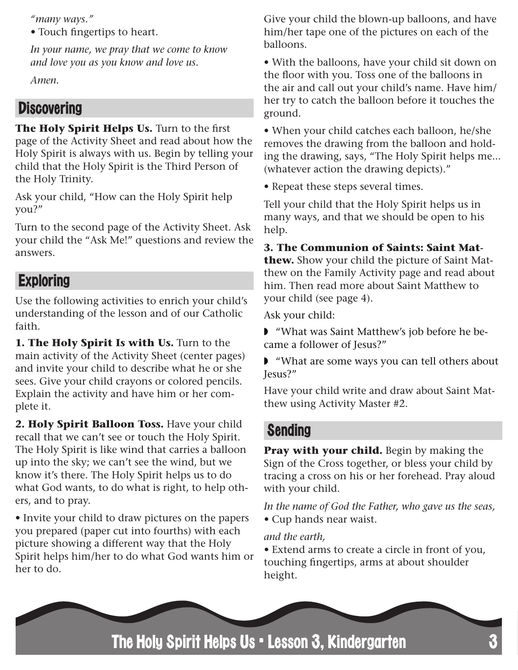*"many ways."* 

*•* Touch fingertips to heart.

*In your name, we pray that we come to know and love you as you know and love us.*

*Amen.*

#### **Discovering**

The Holy Spirit Helps Us. Turn to the first page of the Activity Sheet and read about how the Holy Spirit is always with us. Begin by telling your child that the Holy Spirit is the Third Person of the Holy Trinity.

Ask your child, "How can the Holy Spirit help you?"

Turn to the second page of the Activity Sheet. Ask your child the "Ask Me!" questions and review the answers.

### **Exploring**

Use the following activities to enrich your child's understanding of the lesson and of our Catholic faith.

**1. The Holy Spirit Is with Us.** Turn to the main activity of the Activity Sheet (center pages) and invite your child to describe what he or she sees. Give your child crayons or colored pencils. Explain the activity and have him or her complete it.

**2. Holy Spirit Balloon Toss.** Have your child recall that we can't see or touch the Holy Spirit. The Holy Spirit is like wind that carries a balloon up into the sky; we can't see the wind, but we know it's there. The Holy Spirit helps us to do what God wants, to do what is right, to help others, and to pray.

• Invite your child to draw pictures on the papers you prepared (paper cut into fourths) with each picture showing a different way that the Holy Spirit helps him/her to do what God wants him or her to do.

Give your child the blown-up balloons, and have him/her tape one of the pictures on each of the balloons.

• With the balloons, have your child sit down on the floor with you. Toss one of the balloons in the air and call out your child's name. Have him/ her try to catch the balloon before it touches the ground.

• When your child catches each balloon, he/she removes the drawing from the balloon and holding the drawing, says, "The Holy Spirit helps me... (whatever action the drawing depicts)."

• Repeat these steps several times.

Tell your child that the Holy Spirit helps us in many ways, and that we should be open to his help.

**3. The Communion of Saints: Saint Matthew.** Show your child the picture of Saint Matthew on the Family Activity page and read about him. Then read more about Saint Matthew to your child (see page 4).

Ask your child:

◗ "What was Saint Matthew's job before he became a follower of Jesus?"

◗ "What are some ways you can tell others about Jesus?"

Have your child write and draw about Saint Matthew using Activity Master #2.

#### Sending

**Pray with your child.** Begin by making the Sign of the Cross together, or bless your child by tracing a cross on his or her forehead. Pray aloud with your child.

*In the name of God the Father, who gave us the seas, •* Cup hands near waist.

*and the earth,* 

*•* Extend arms to create a circle in front of you, touching fingertips, arms at about shoulder height.

The Holy Spirit Helps Us • Lesson 3, Kindergarten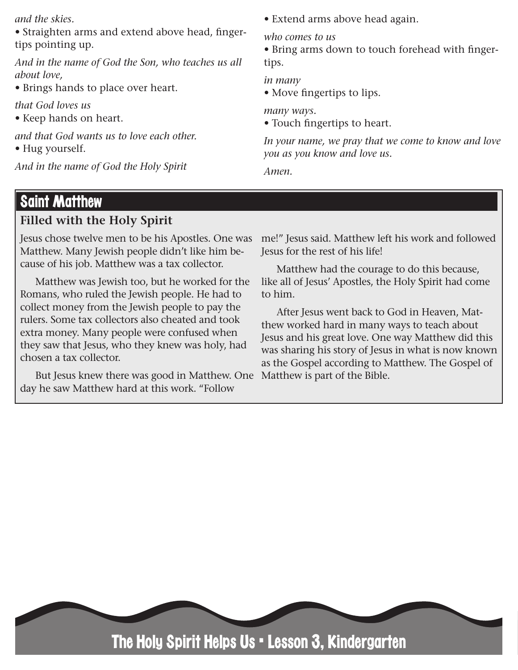*and the skies.* 

*•* Straighten arms and extend above head, fingertips pointing up.

*And in the name of God the Son, who teaches us all about love,* 

*•* Brings hands to place over heart.

*that God loves us* 

*•* Keep hands on heart.

*and that God wants us to love each other.* 

*•* Hug yourself.

*And in the name of God the Holy Spirit* 

*•* Extend arms above head again.

*who comes to us* 

*•* Bring arms down to touch forehead with fingertips.

*in many* 

*•* Move fingertips to lips.

*many ways.* 

*•* Touch fingertips to heart.

*In your name, we pray that we come to know and love you as you know and love us.*

*Amen.*

#### Saint Matthew

#### **Filled with the Holy Spirit**

Jesus chose twelve men to be his Apostles. One was Matthew. Many Jewish people didn't like him because of his job. Matthew was a tax collector.

Matthew was Jewish too, but he worked for the Romans, who ruled the Jewish people. He had to collect money from the Jewish people to pay the rulers. Some tax collectors also cheated and took extra money. Many people were confused when they saw that Jesus, who they knew was holy, had chosen a tax collector.

But Jesus knew there was good in Matthew. One day he saw Matthew hard at this work. "Follow

me!" Jesus said. Matthew left his work and followed Jesus for the rest of his life!

Matthew had the courage to do this because, like all of Jesus' Apostles, the Holy Spirit had come to him.

After Jesus went back to God in Heaven, Matthew worked hard in many ways to teach about Jesus and his great love. One way Matthew did this was sharing his story of Jesus in what is now known as the Gospel according to Matthew. The Gospel of Matthew is part of the Bible.